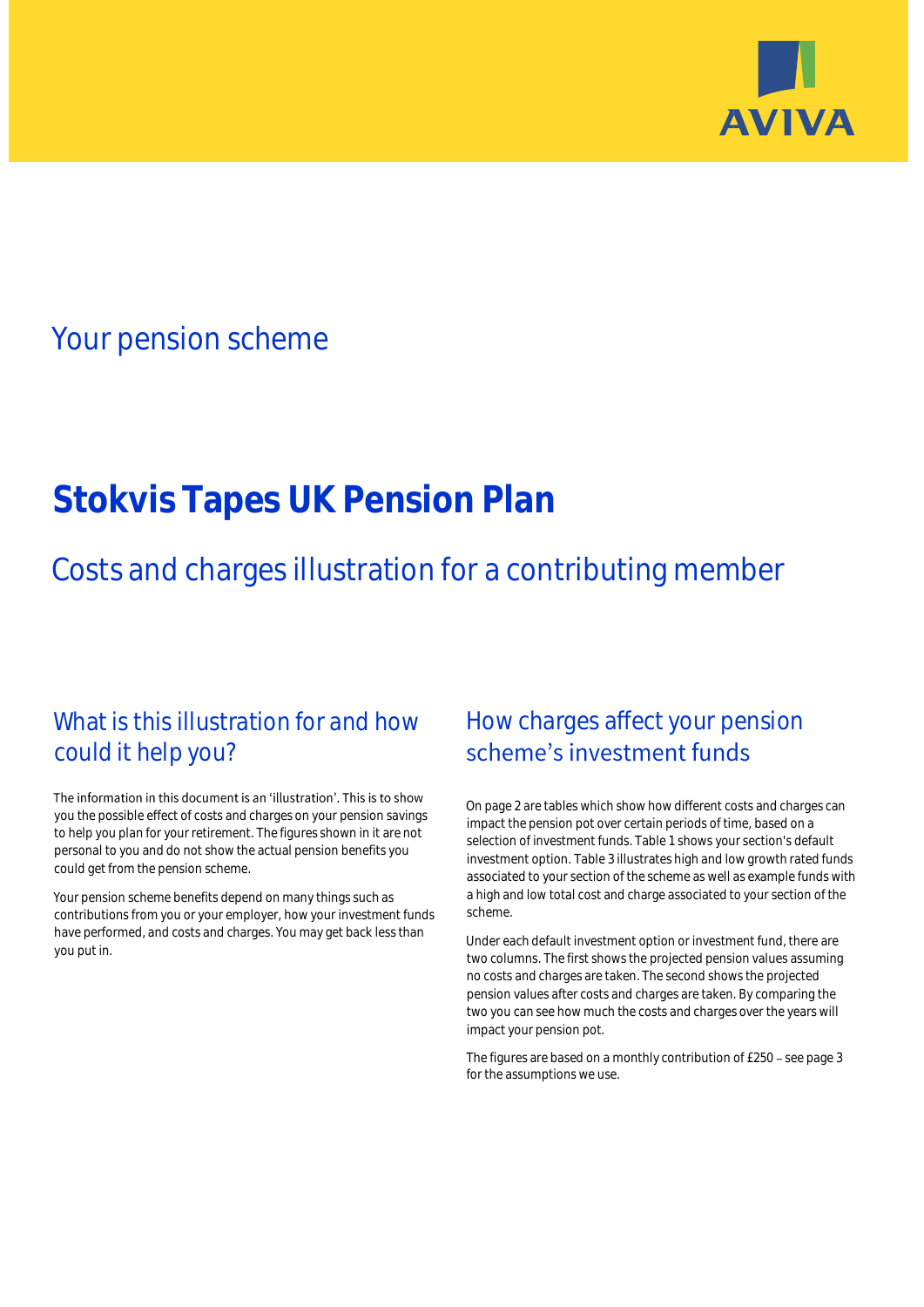

## Your pension scheme

# **Stokvis Tapes UK Pension Plan**

Costs and charges illustration for a contributing member

### What is this illustration for and how could it help you?

#### The information in this document is an 'illustration'. This is to show you the possible effect of costs and charges on your pension savings to help you plan for your retirement. The figures shown in it are not personal to you and do not show the actual pension benefits you could get from the pension scheme.

Your pension scheme benefits depend on many things such as contributions from you or your employer, how your investment funds have performed, and costs and charges. You may get back less than you put in.

### How charges affect your pension scheme's investment funds

On page 2 are tables which show how different costs and charges can impact the pension pot over certain periods of time, based on a selection of investment funds. Table 1 shows your section's default investment option. Table 3 illustrates high and low growth rated funds associated to your section of the scheme as well as example funds with a high and low total cost and charge associated to your section of the scheme.

Under each default investment option or investment fund, there are two columns. The first shows the projected pension values assuming no costs and charges are taken. The second shows the projected pension values after costs and charges are taken. By comparing the two you can see how much the costs and charges over the years will impact your pension pot.

The figures are based on a monthly contribution of £250 - see page 3 for the assumptions we use.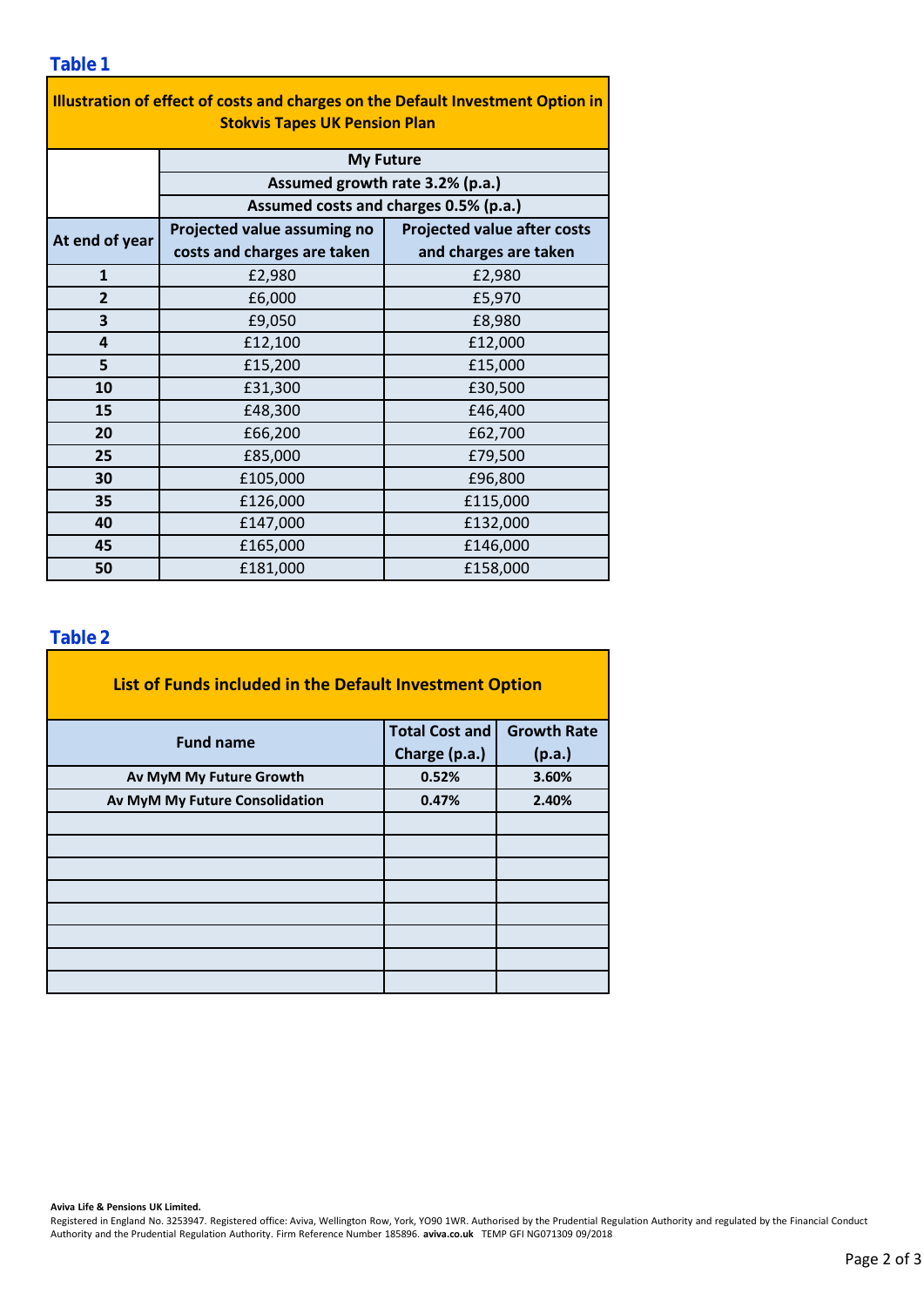#### **Table 1**

| Illustration of effect of costs and charges on the Default Investment Option in<br><b>Stokvis Tapes UK Pension Plan</b> |                                       |                                    |  |  |  |  |  |  |
|-------------------------------------------------------------------------------------------------------------------------|---------------------------------------|------------------------------------|--|--|--|--|--|--|
|                                                                                                                         | <b>My Future</b>                      |                                    |  |  |  |  |  |  |
|                                                                                                                         | Assumed growth rate 3.2% (p.a.)       |                                    |  |  |  |  |  |  |
|                                                                                                                         | Assumed costs and charges 0.5% (p.a.) |                                    |  |  |  |  |  |  |
| At end of year                                                                                                          | Projected value assuming no           | <b>Projected value after costs</b> |  |  |  |  |  |  |
|                                                                                                                         | costs and charges are taken           | and charges are taken              |  |  |  |  |  |  |
| $\mathbf{1}$                                                                                                            | £2,980                                | £2,980                             |  |  |  |  |  |  |
| $\overline{2}$                                                                                                          | £6,000                                | £5,970                             |  |  |  |  |  |  |
| 3                                                                                                                       | £9,050                                | £8,980                             |  |  |  |  |  |  |
| 4                                                                                                                       | £12,100                               | £12,000                            |  |  |  |  |  |  |
| 5                                                                                                                       | £15,200                               | £15,000                            |  |  |  |  |  |  |
| 10                                                                                                                      | £31,300                               | £30,500                            |  |  |  |  |  |  |
| 15                                                                                                                      | £48,300                               | £46,400                            |  |  |  |  |  |  |
| 20                                                                                                                      | £66,200                               | £62,700                            |  |  |  |  |  |  |
| 25                                                                                                                      | £85,000                               | £79,500                            |  |  |  |  |  |  |
| 30                                                                                                                      | £105,000                              | £96,800                            |  |  |  |  |  |  |
| 35                                                                                                                      | £126,000                              | £115,000                           |  |  |  |  |  |  |
| 40                                                                                                                      | £147,000                              | £132,000                           |  |  |  |  |  |  |
| 45                                                                                                                      | £165,000                              | £146,000                           |  |  |  |  |  |  |
| 50                                                                                                                      | £181,000                              | £158,000                           |  |  |  |  |  |  |

### **Table 2**

| List of Funds included in the Default Investment Option |                       |                    |  |  |  |  |  |  |
|---------------------------------------------------------|-----------------------|--------------------|--|--|--|--|--|--|
| <b>Fund name</b>                                        | <b>Total Cost and</b> | <b>Growth Rate</b> |  |  |  |  |  |  |
|                                                         | Charge (p.a.)         | (p.a.)             |  |  |  |  |  |  |
| Av MyM My Future Growth                                 | 0.52%                 | 3.60%              |  |  |  |  |  |  |
| Av MyM My Future Consolidation                          | 0.47%                 | 2.40%              |  |  |  |  |  |  |
|                                                         |                       |                    |  |  |  |  |  |  |
|                                                         |                       |                    |  |  |  |  |  |  |
|                                                         |                       |                    |  |  |  |  |  |  |
|                                                         |                       |                    |  |  |  |  |  |  |
|                                                         |                       |                    |  |  |  |  |  |  |
|                                                         |                       |                    |  |  |  |  |  |  |
|                                                         |                       |                    |  |  |  |  |  |  |
|                                                         |                       |                    |  |  |  |  |  |  |

#### **Aviva Life & Pensions UK Limited.**

Registered in England No. 3253947. Registered office: Aviva, Wellington Row, York, YO90 1WR. Authorised by the Prudential Regulation Authority and regulated by the Financial Conduct Authority and the Prudential Regulation Authority. Firm Reference Number 185896. **aviva.co.uk** TEMP GFI NG071309 09/2018